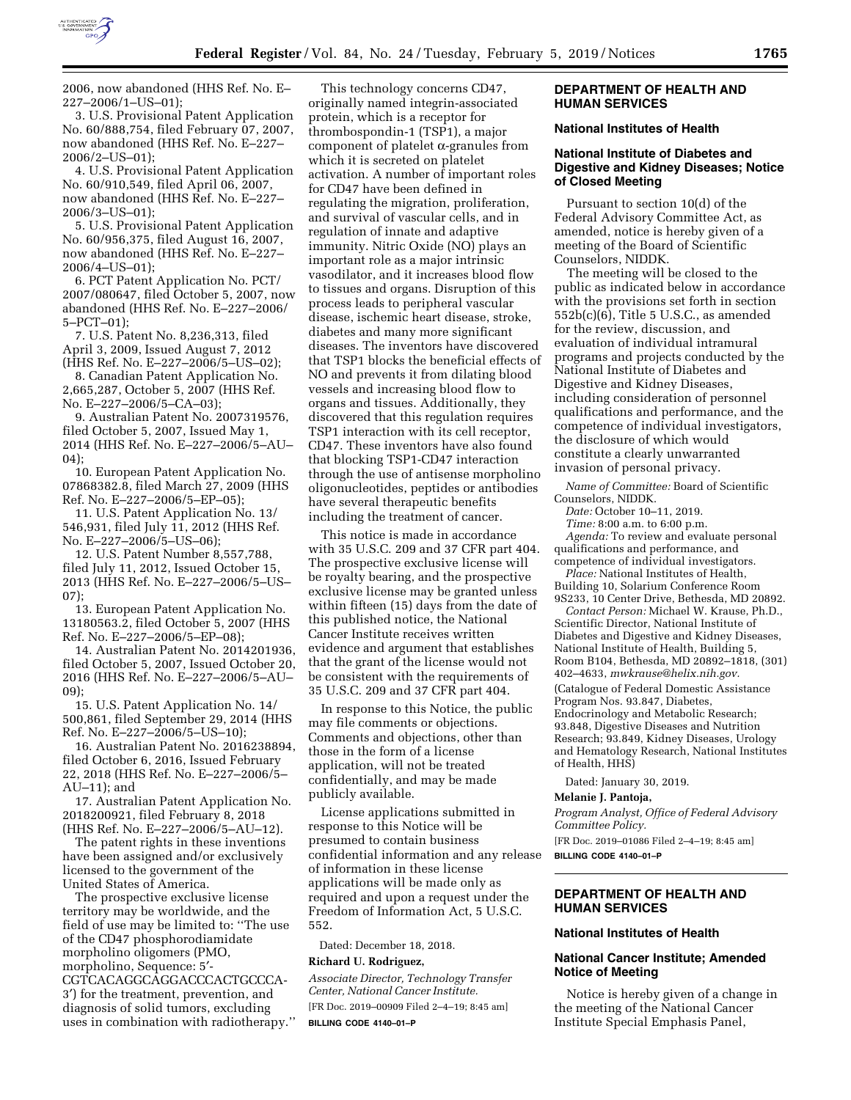

2006, now abandoned (HHS Ref. No. E– 227–2006/1–US–01);

3. U.S. Provisional Patent Application No. 60/888,754, filed February 07, 2007, now abandoned (HHS Ref. No. E–227– 2006/2–US–01);

4. U.S. Provisional Patent Application No. 60/910,549, filed April 06, 2007, now abandoned (HHS Ref. No. E–227– 2006/3–US–01);

5. U.S. Provisional Patent Application No. 60/956,375, filed August 16, 2007, now abandoned (HHS Ref. No. E–227– 2006/4–US–01);

6. PCT Patent Application No. PCT/ 2007/080647, filed October 5, 2007, now abandoned (HHS Ref. No. E–227–2006/ 5–PCT–01);

7. U.S. Patent No. 8,236,313, filed April 3, 2009, Issued August 7, 2012 (HHS Ref. No. E–227–2006/5–US–02);

8. Canadian Patent Application No. 2,665,287, October 5, 2007 (HHS Ref. No. E–227–2006/5–CA–03);

9. Australian Patent No. 2007319576, filed October 5, 2007, Issued May 1, 2014 (HHS Ref. No. E–227–2006/5–AU– 04);

10. European Patent Application No. 07868382.8, filed March 27, 2009 (HHS Ref. No. E–227–2006/5–EP–05);

11. U.S. Patent Application No. 13/ 546,931, filed July 11, 2012 (HHS Ref. No. E–227–2006/5–US–06);

12. U.S. Patent Number 8,557,788, filed July 11, 2012, Issued October 15, 2013 (HHS Ref. No. E–227–2006/5–US– 07);

13. European Patent Application No. 13180563.2, filed October 5, 2007 (HHS Ref. No. E–227–2006/5–EP–08);

14. Australian Patent No. 2014201936, filed October 5, 2007, Issued October 20, 2016 (HHS Ref. No. E–227–2006/5–AU– 09);

15. U.S. Patent Application No. 14/ 500,861, filed September 29, 2014 (HHS Ref. No. E–227–2006/5–US–10);

16. Australian Patent No. 2016238894, filed October 6, 2016, Issued February 22, 2018 (HHS Ref. No. E–227–2006/5– AU–11); and

17. Australian Patent Application No. 2018200921, filed February 8, 2018 (HHS Ref. No. E–227–2006/5–AU–12).

The patent rights in these inventions have been assigned and/or exclusively licensed to the government of the United States of America.

The prospective exclusive license territory may be worldwide, and the field of use may be limited to: ''The use of the CD47 phosphorodiamidate morpholino oligomers (PMO, morpholino, Sequence: 5′- CGTCACAGGCAGGACCCACTGCCCA-3′) for the treatment, prevention, and diagnosis of solid tumors, excluding uses in combination with radiotherapy.''

This technology concerns CD47, originally named integrin-associated protein, which is a receptor for thrombospondin-1 (TSP1), a major component of platelet  $\alpha$ -granules from which it is secreted on platelet activation. A number of important roles for CD47 have been defined in regulating the migration, proliferation, and survival of vascular cells, and in regulation of innate and adaptive immunity. Nitric Oxide (NO) plays an important role as a major intrinsic vasodilator, and it increases blood flow to tissues and organs. Disruption of this process leads to peripheral vascular disease, ischemic heart disease, stroke, diabetes and many more significant diseases. The inventors have discovered that TSP1 blocks the beneficial effects of NO and prevents it from dilating blood vessels and increasing blood flow to organs and tissues. Additionally, they discovered that this regulation requires TSP1 interaction with its cell receptor, CD47. These inventors have also found that blocking TSP1-CD47 interaction through the use of antisense morpholino oligonucleotides, peptides or antibodies have several therapeutic benefits including the treatment of cancer.

This notice is made in accordance with 35 U.S.C. 209 and 37 CFR part 404. The prospective exclusive license will be royalty bearing, and the prospective exclusive license may be granted unless within fifteen (15) days from the date of this published notice, the National Cancer Institute receives written evidence and argument that establishes that the grant of the license would not be consistent with the requirements of 35 U.S.C. 209 and 37 CFR part 404.

In response to this Notice, the public may file comments or objections. Comments and objections, other than those in the form of a license application, will not be treated confidentially, and may be made publicly available.

License applications submitted in response to this Notice will be presumed to contain business confidential information and any release of information in these license applications will be made only as required and upon a request under the Freedom of Information Act, 5 U.S.C. 552.

Dated: December 18, 2018.

### **Richard U. Rodriguez,**

*Associate Director, Technology Transfer Center, National Cancer Institute.*  [FR Doc. 2019–00909 Filed 2–4–19; 8:45 am] **BILLING CODE 4140–01–P** 

### **DEPARTMENT OF HEALTH AND HUMAN SERVICES**

## **National Institutes of Health**

## **National Institute of Diabetes and Digestive and Kidney Diseases; Notice of Closed Meeting**

Pursuant to section 10(d) of the Federal Advisory Committee Act, as amended, notice is hereby given of a meeting of the Board of Scientific Counselors, NIDDK.

The meeting will be closed to the public as indicated below in accordance with the provisions set forth in section 552b(c)(6), Title 5 U.S.C., as amended for the review, discussion, and evaluation of individual intramural programs and projects conducted by the National Institute of Diabetes and Digestive and Kidney Diseases, including consideration of personnel qualifications and performance, and the competence of individual investigators, the disclosure of which would constitute a clearly unwarranted invasion of personal privacy.

*Name of Committee:* Board of Scientific Counselors, NIDDK.

*Date:* October 10–11, 2019.

*Time:* 8:00 a.m. to 6:00 p.m. *Agenda:* To review and evaluate personal qualifications and performance, and

competence of individual investigators. *Place:* National Institutes of Health, Building 10, Solarium Conference Room

9S233, 10 Center Drive, Bethesda, MD 20892. *Contact Person:* Michael W. Krause, Ph.D., Scientific Director, National Institute of Diabetes and Digestive and Kidney Diseases, National Institute of Health, Building 5, Room B104, Bethesda, MD 20892–1818, (301) 402–4633, *[mwkrause@helix.nih.gov.](mailto:mwkrause@helix.nih.gov)*  (Catalogue of Federal Domestic Assistance Program Nos. 93.847, Diabetes,

Endocrinology and Metabolic Research; 93.848, Digestive Diseases and Nutrition Research; 93.849, Kidney Diseases, Urology and Hematology Research, National Institutes of Health, HHS)

Dated: January 30, 2019.

#### **Melanie J. Pantoja,**

*Program Analyst, Office of Federal Advisory Committee Policy.* 

[FR Doc. 2019–01086 Filed 2–4–19; 8:45 am]

**BILLING CODE 4140–01–P** 

## **DEPARTMENT OF HEALTH AND HUMAN SERVICES**

#### **National Institutes of Health**

### **National Cancer Institute; Amended Notice of Meeting**

Notice is hereby given of a change in the meeting of the National Cancer Institute Special Emphasis Panel,